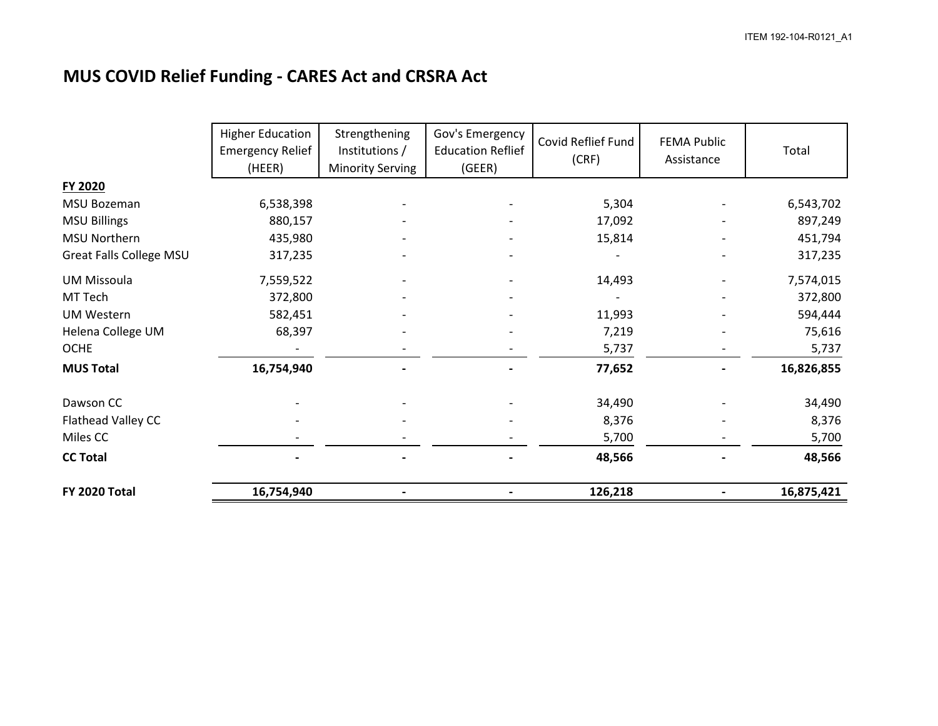## **MUS COVID Relief Funding - CARES Act and CRSRA Act**

|                                | <b>Higher Education</b><br><b>Emergency Relief</b><br>(HEER) | Strengthening<br>Institutions /<br><b>Minority Serving</b> | Gov's Emergency<br><b>Education Reflief</b><br>(GEER) | Covid Reflief Fund<br>(CRF) | <b>FEMA Public</b><br>Assistance | Total      |
|--------------------------------|--------------------------------------------------------------|------------------------------------------------------------|-------------------------------------------------------|-----------------------------|----------------------------------|------------|
| FY 2020                        |                                                              |                                                            |                                                       |                             |                                  |            |
| MSU Bozeman                    | 6,538,398                                                    |                                                            |                                                       | 5,304                       |                                  | 6,543,702  |
| <b>MSU Billings</b>            | 880,157                                                      |                                                            |                                                       | 17,092                      |                                  | 897,249    |
| <b>MSU Northern</b>            | 435,980                                                      |                                                            |                                                       | 15,814                      |                                  | 451,794    |
| <b>Great Falls College MSU</b> | 317,235                                                      |                                                            |                                                       |                             |                                  | 317,235    |
| <b>UM Missoula</b>             | 7,559,522                                                    |                                                            |                                                       | 14,493                      |                                  | 7,574,015  |
| MT Tech                        | 372,800                                                      |                                                            |                                                       |                             |                                  | 372,800    |
| <b>UM Western</b>              | 582,451                                                      |                                                            |                                                       | 11,993                      |                                  | 594,444    |
| Helena College UM              | 68,397                                                       |                                                            |                                                       | 7,219                       |                                  | 75,616     |
| <b>OCHE</b>                    |                                                              |                                                            |                                                       | 5,737                       |                                  | 5,737      |
| <b>MUS Total</b>               | 16,754,940                                                   |                                                            |                                                       | 77,652                      |                                  | 16,826,855 |
| Dawson CC                      |                                                              |                                                            |                                                       | 34,490                      |                                  | 34,490     |
| Flathead Valley CC             |                                                              |                                                            |                                                       | 8,376                       |                                  | 8,376      |
| Miles CC                       |                                                              |                                                            |                                                       | 5,700                       |                                  | 5,700      |
| <b>CC Total</b>                |                                                              |                                                            |                                                       | 48,566                      |                                  | 48,566     |
| FY 2020 Total                  | 16,754,940                                                   |                                                            |                                                       | 126,218                     |                                  | 16,875,421 |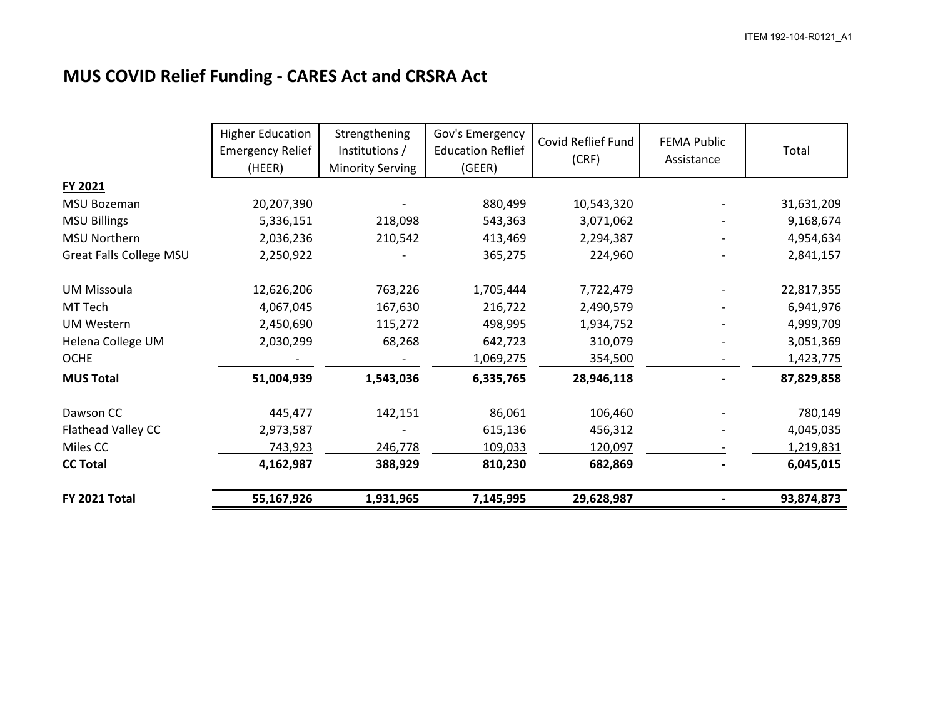## **MUS COVID Relief Funding - CARES Act and CRSRA Act**

|                                | <b>Higher Education</b><br><b>Emergency Relief</b><br>(HEER) | Strengthening<br>Institutions /<br><b>Minority Serving</b> | Gov's Emergency<br><b>Education Reflief</b><br>(GEER) | Covid Reflief Fund<br>(CRF) | <b>FEMA Public</b><br>Assistance | Total      |
|--------------------------------|--------------------------------------------------------------|------------------------------------------------------------|-------------------------------------------------------|-----------------------------|----------------------------------|------------|
| FY 2021                        |                                                              |                                                            |                                                       |                             |                                  |            |
| MSU Bozeman                    | 20,207,390                                                   |                                                            | 880,499                                               | 10,543,320                  |                                  | 31,631,209 |
| <b>MSU Billings</b>            | 5,336,151                                                    | 218,098                                                    | 543,363                                               | 3,071,062                   |                                  | 9,168,674  |
| MSU Northern                   | 2,036,236                                                    | 210,542                                                    | 413,469                                               | 2,294,387                   |                                  | 4,954,634  |
| <b>Great Falls College MSU</b> | 2,250,922                                                    |                                                            | 365,275                                               | 224,960                     |                                  | 2,841,157  |
| <b>UM Missoula</b>             | 12,626,206                                                   | 763,226                                                    | 1,705,444                                             | 7,722,479                   |                                  | 22,817,355 |
| MT Tech                        | 4,067,045                                                    | 167,630                                                    | 216,722                                               | 2,490,579                   |                                  | 6,941,976  |
| <b>UM Western</b>              | 2,450,690                                                    | 115,272                                                    | 498,995                                               | 1,934,752                   |                                  | 4,999,709  |
| Helena College UM              | 2,030,299                                                    | 68,268                                                     | 642,723                                               | 310,079                     |                                  | 3,051,369  |
| <b>OCHE</b>                    |                                                              |                                                            | 1,069,275                                             | 354,500                     |                                  | 1,423,775  |
| <b>MUS Total</b>               | 51,004,939                                                   | 1,543,036                                                  | 6,335,765                                             | 28,946,118                  |                                  | 87,829,858 |
| Dawson CC                      | 445,477                                                      | 142,151                                                    | 86,061                                                | 106,460                     |                                  | 780,149    |
| Flathead Valley CC             | 2,973,587                                                    |                                                            | 615,136                                               | 456,312                     |                                  | 4,045,035  |
| Miles CC                       | 743,923                                                      | 246,778                                                    | 109,033                                               | 120,097                     |                                  | 1,219,831  |
| <b>CC Total</b>                | 4,162,987                                                    | 388,929                                                    | 810,230                                               | 682,869                     |                                  | 6,045,015  |
| FY 2021 Total                  | 55,167,926                                                   | 1,931,965                                                  | 7,145,995                                             | 29,628,987                  |                                  | 93,874,873 |